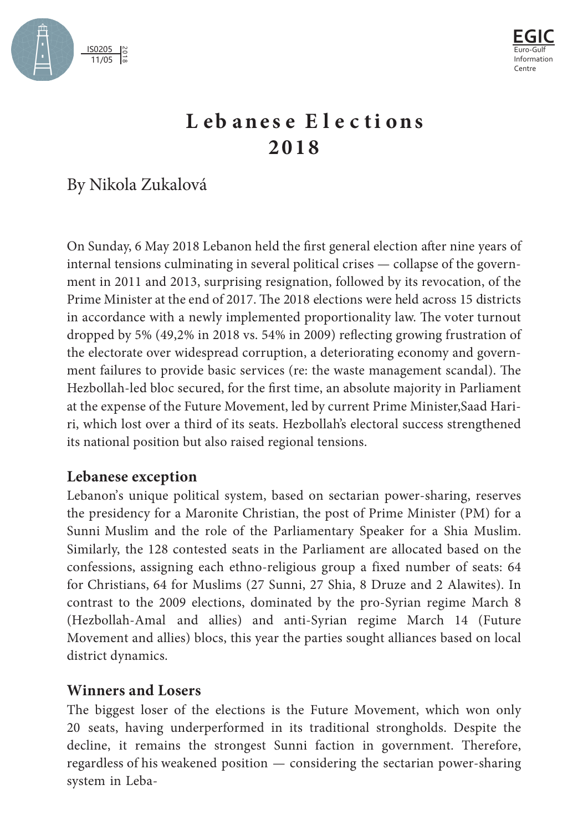



## **L e b anes e E l e c t i ons 2 01 8**

By Nikola Zukalová

On Sunday, 6 May 2018 Lebanon held the first general election after nine years of internal tensions culminating in several political crises — collapse of the government in 2011 and 2013, surprising resignation, followed by its revocation, of the Prime Minister at the end of 2017. The 2018 elections were held across 15 districts in accordance with a newly implemented proportionality law. The voter turnout dropped by 5% (49,2% in 2018 vs. 54% in 2009) reflecting growing frustration of the electorate over widespread corruption, a deteriorating economy and government failures to provide basic services (re: the waste management scandal). The Hezbollah-led bloc secured, for the first time, an absolute majority in Parliament at the expense of the Future Movement, led by current Prime Minister,Saad Hariri, which lost over a third of its seats. Hezbollah's electoral success strengthened its national position but also raised regional tensions.

## **Lebanese exception**

Lebanon's unique political system, based on sectarian power-sharing, reserves the presidency for a Maronite Christian, the post of Prime Minister (PM) for a Sunni Muslim and the role of the Parliamentary Speaker for a Shia Muslim. Similarly, the 128 contested seats in the Parliament are allocated based on the confessions, assigning each ethno-religious group a fixed number of seats: 64 for Christians, 64 for Muslims (27 Sunni, 27 Shia, 8 Druze and 2 Alawites). In contrast to the 2009 elections, dominated by the pro-Syrian regime March 8 (Hezbollah-Amal and allies) and anti-Syrian regime March 14 (Future Movement and allies) blocs, this year the parties sought alliances based on local district dynamics.

## **Winners and Losers**

The biggest loser of the elections is the Future Movement, which won only 20 seats, having underperformed in its traditional strongholds. Despite the decline, it remains the strongest Sunni faction in government. Therefore, regardless of his weakened position — considering the sectarian power-sharing system in Leba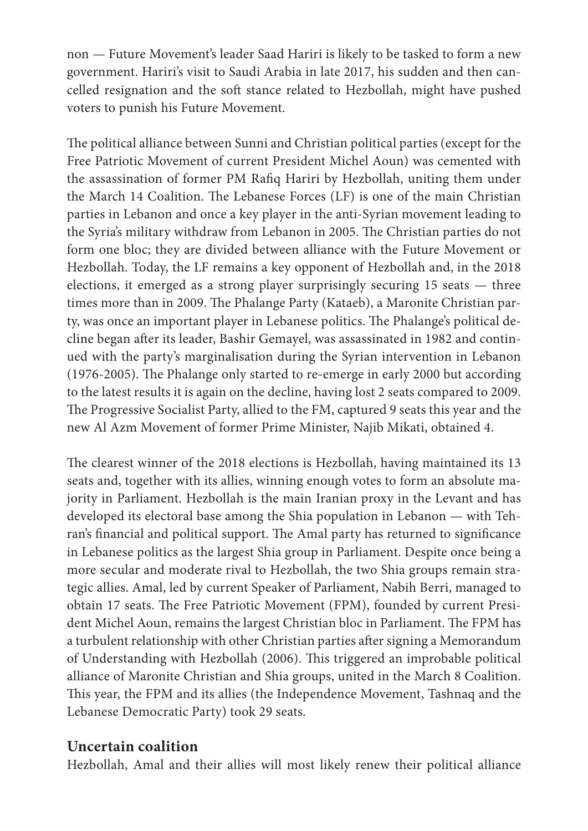non — Future Movement's leader Saad Hariri is likely to be tasked to form a new government. Hariri's visit to Saudi Arabia in late 2017, his sudden and then cancelled resignation and the soft stance related to Hezbollah, might have pushed voters to punish his Future Movement.

The political alliance between Sunni and Christian political parties (except for the Free Patriotic Movement of current President Michel Aoun) was cemented with the assassination of former PM Rafiq Hariri by Hezbollah, uniting them under the March 14 Coalition. The Lebanese Forces (LF) is one of the main Christian parties in Lebanon and once a key player in the anti-Syrian movement leading to the Syria's military withdraw from Lebanon in 2005. The Christian parties do not form one bloc; they are divided between alliance with the Future Movement or Hezbollah. Today, the LF remains a key opponent of Hezbollah and, in the 2018 elections, it emerged as a strong player surprisingly securing 15 seats — three times more than in 2009. The Phalange Party (Kataeb), a Maronite Christian party, was once an important player in Lebanese politics. The Phalange's political decline began after its leader, Bashir Gemayel, was assassinated in 1982 and continued with the party's marginalisation during the Syrian intervention in Lebanon (1976-2005). The Phalange only started to re-emerge in early 2000 but according to the latest results it is again on the decline, having lost 2 seats compared to 2009. The Progressive Socialist Party, allied to the FM, captured 9 seats this year and the new Al Azm Movement of former Prime Minister, Najib Mikati, obtained 4.

The clearest winner of the 2018 elections is Hezbollah, having maintained its 13 seats and, together with its allies, winning enough votes to form an absolute majority in Parliament. Hezbollah is the main Iranian proxy in the Levant and has developed its electoral base among the Shia population in Lebanon — with Tehran's financial and political support. The Amal party has returned to significance in Lebanese politics as the largest Shia group in Parliament. Despite once being a more secular and moderate rival to Hezbollah, the two Shia groups remain strategic allies. Amal, led by current Speaker of Parliament, Nabih Berri, managed to obtain 17 seats. The Free Patriotic Movement (FPM), founded by current President Michel Aoun, remains the largest Christian bloc in Parliament. The FPM has a turbulent relationship with other Christian parties after signing a Memorandum of Understanding with Hezbollah (2006). This triggered an improbable political alliance of Maronite Christian and Shia groups, united in the March 8 Coalition. This year, the FPM and its allies (the Independence Movement, Tashnaq and the Lebanese Democratic Party) took 29 seats.

## **Uncertain coalition**

Hezbollah, Amal and their allies will most likely renew their political alliance